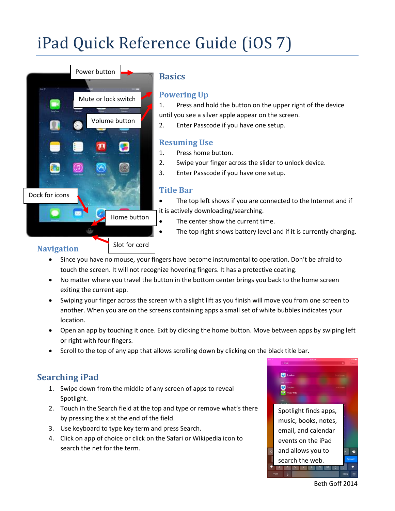# iPad Quick Reference Guide (iOS 7)



# **Basics**

# **Powering Up**

1. Press and hold the button on the upper right of the device until you see a silver apple appear on the screen.

2. Enter Passcode if you have one setup.

# **Resuming Use**

- 1. Press home button.
- 2. Swipe your finger across the slider to unlock device.
- 3. Enter Passcode if you have one setup.

# **Title Bar**

- The top left shows if you are connected to the Internet and if it is actively downloading/searching.
- The center show the current time.
	- The top right shows battery level and if it is currently charging.

# **Navigation**

- Since you have no mouse, your fingers have become instrumental to operation. Don't be afraid to touch the screen. It will not recognize hovering fingers. It has a protective coating.
- No matter where you travel the button in the bottom center brings you back to the home screen exiting the current app.
- Swiping your finger across the screen with a slight lift as you finish will move you from one screen to another. When you are on the screens containing apps a small set of white bubbles indicates your location.
- Open an app by touching it once. Exit by clicking the home button. Move between apps by swiping left or right with four fingers.
- Scroll to the top of any app that allows scrolling down by clicking on the black title bar.

# **Searching iPad**

- 1. Swipe down from the middle of any screen of apps to reveal Spotlight.
- 2. Touch in the Search field at the top and type or remove what's there by pressing the x at the end of the field.
- 3. Use keyboard to type key term and press Search.
- 4. Click on app of choice or click on the Safari or Wikipedia icon to search the net for the term.



Beth Goff 2014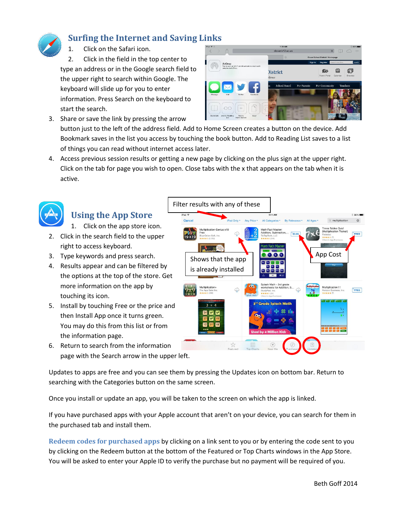

# **Surfing the Internet and Saving Links**

Click on the Safari icon.

2. Click in the field in the top center to type an address or in the Google search field to the upper right to search within Google. The keyboard will slide up for you to enter information. Press Search on the keyboard to start the search.

- 侖 劇 **GIA District**
- 3. Share or save the link by pressing the arrow button just to the left of the address field. Add to Home Screen creates a button on the device. Add Bookmark saves in the list you access by touching the book button. Add to Reading List saves to a list of things you can read without internet access later.
- 4. Access previous session results or getting a new page by clicking on the plus sign at the upper right. Click on the tab for page you wish to open. Close tabs with the x that appears on the tab when it is active.



# **Using the App Store**

1. Click on the app store icon.

- 2. Click in the search field to the upper right to access keyboard.
- 3. Type keywords and press search.
- 4. Results appear and can be filtered by the options at the top of the store. Get more information on the app by touching its icon.
- 5. Install by touching Free or the price and then Install App once it turns green. You may do this from this list or from the information page.
- 6. Return to search from the information page with the Search arrow in the upper left.



Updates to apps are free and you can see them by pressing the Updates icon on bottom bar. Return to searching with the Categories button on the same screen.

Once you install or update an app, you will be taken to the screen on which the app is linked.

If you have purchased apps with your Apple account that aren't on your device, you can search for them in the purchased tab and install them.

**Redeem codes for purchased apps** by clicking on a link sent to you or by entering the code sent to you by clicking on the Redeem button at the bottom of the Featured or Top Charts windows in the App Store. You will be asked to enter your Apple ID to verify the purchase but no payment will be required of you.